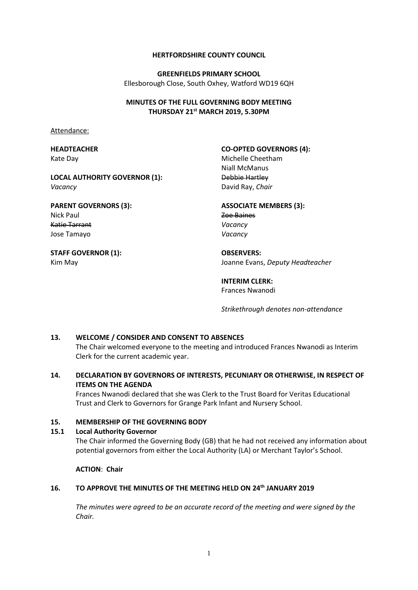#### **HERTFORDSHIRE COUNTY COUNCIL**

**GREENFIELDS PRIMARY SCHOOL** Ellesborough Close, South Oxhey, Watford WD19 6QH

## **MINUTES OF THE FULL GOVERNING BODY MEETING THURSDAY 21st MARCH 2019, 5.30PM**

Attendance:

## **HEADTEACHER** Kate Day

*Vacancy*

## **CO-OPTED GOVERNORS (4):**

**LOCAL AUTHORITY GOVERNOR (1):**

## **PARENT GOVERNORS (3):** Nick Paul Katie Tarrant Jose Tamayo

# **STAFF GOVERNOR (1):** Kim May

Michelle Cheetham Niall McManus Debbie Hartley David Ray, *Chair*

# **ASSOCIATE MEMBERS (3):** Zoe Baines *Vacancy Vacancy*

**OBSERVERS:** Joanne Evans, *Deputy Headteacher*

## **INTERIM CLERK:** Frances Nwanodi

*Strikethrough denotes non-attendance*

# **13. WELCOME / CONSIDER AND CONSENT TO ABSENCES**

The Chair welcomed everyone to the meeting and introduced Frances Nwanodi as Interim Clerk for the current academic year.

# **14. DECLARATION BY GOVERNORS OF INTERESTS, PECUNIARY OR OTHERWISE, IN RESPECT OF ITEMS ON THE AGENDA**

Frances Nwanodi declared that she was Clerk to the Trust Board for Veritas Educational Trust and Clerk to Governors for Grange Park Infant and Nursery School.

## **15. MEMBERSHIP OF THE GOVERNING BODY**

## **15.1 Local Authority Governor**

The Chair informed the Governing Body (GB) that he had not received any information about potential governors from either the Local Authority (LA) or Merchant Taylor's School.

**ACTION**: **Chair** 

# **16. TO APPROVE THE MINUTES OF THE MEETING HELD ON 24th JANUARY 2019**

*The minutes were agreed to be an accurate record of the meeting and were signed by the Chair.*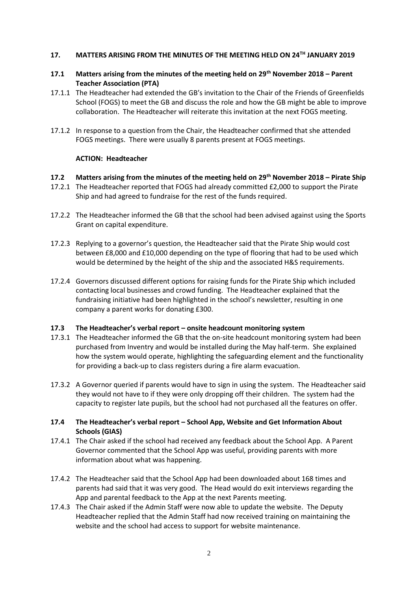## **17. MATTERS ARISING FROM THE MINUTES OF THE MEETING HELD ON 24TH JANUARY 2019**

## **17.1 Matters arising from the minutes of the meeting held on 29th November 2018 – Parent Teacher Association (PTA)**

- 17.1.1 The Headteacher had extended the GB's invitation to the Chair of the Friends of Greenfields School (FOGS) to meet the GB and discuss the role and how the GB might be able to improve collaboration. The Headteacher will reiterate this invitation at the next FOGS meeting.
- 17.1.2 In response to a question from the Chair, the Headteacher confirmed that she attended FOGS meetings. There were usually 8 parents present at FOGS meetings.

## **ACTION: Headteacher**

## **17.2 Matters arising from the minutes of the meeting held on 29th November 2018 – Pirate Ship**

- 17.2.1 The Headteacher reported that FOGS had already committed £2,000 to support the Pirate Ship and had agreed to fundraise for the rest of the funds required.
- 17.2.2 The Headteacher informed the GB that the school had been advised against using the Sports Grant on capital expenditure.
- 17.2.3 Replying to a governor's question, the Headteacher said that the Pirate Ship would cost between £8,000 and £10,000 depending on the type of flooring that had to be used which would be determined by the height of the ship and the associated H&S requirements.
- 17.2.4 Governors discussed different options for raising funds for the Pirate Ship which included contacting local businesses and crowd funding. The Headteacher explained that the fundraising initiative had been highlighted in the school's newsletter, resulting in one company a parent works for donating £300.

## **17.3 The Headteacher's verbal report – onsite headcount monitoring system**

- 17.3.1 The Headteacher informed the GB that the on-site headcount monitoring system had been purchased from Inventry and would be installed during the May half-term. She explained how the system would operate, highlighting the safeguarding element and the functionality for providing a back-up to class registers during a fire alarm evacuation.
- 17.3.2 A Governor queried if parents would have to sign in using the system. The Headteacher said they would not have to if they were only dropping off their children. The system had the capacity to register late pupils, but the school had not purchased all the features on offer.

## **17.4 The Headteacher's verbal report – School App, Website and Get Information About Schools (GIAS)**

- 17.4.1 The Chair asked if the school had received any feedback about the School App. A Parent Governor commented that the School App was useful, providing parents with more information about what was happening.
- 17.4.2 The Headteacher said that the School App had been downloaded about 168 times and parents had said that it was very good. The Head would do exit interviews regarding the App and parental feedback to the App at the next Parents meeting.
- 17.4.3 The Chair asked if the Admin Staff were now able to update the website. The Deputy Headteacher replied that the Admin Staff had now received training on maintaining the website and the school had access to support for website maintenance.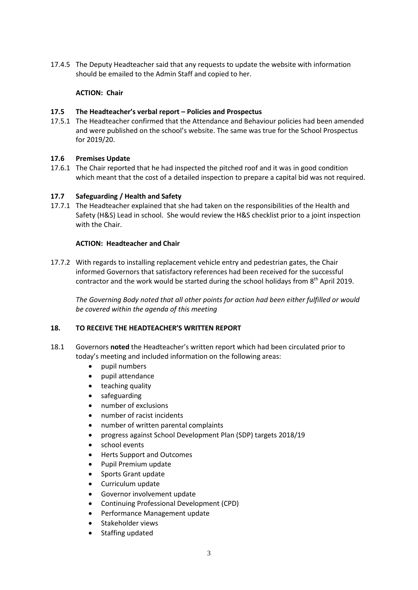17.4.5 The Deputy Headteacher said that any requests to update the website with information should be emailed to the Admin Staff and copied to her.

# **ACTION: Chair**

## **17.5 The Headteacher's verbal report – Policies and Prospectus**

17.5.1 The Headteacher confirmed that the Attendance and Behaviour policies had been amended and were published on the school's website. The same was true for the School Prospectus for 2019/20.

# **17.6 Premises Update**

17.6.1 The Chair reported that he had inspected the pitched roof and it was in good condition which meant that the cost of a detailed inspection to prepare a capital bid was not required.

## **17.7 Safeguarding / Health and Safety**

17.7.1 The Headteacher explained that she had taken on the responsibilities of the Health and Safety (H&S) Lead in school. She would review the H&S checklist prior to a joint inspection with the Chair.

## **ACTION: Headteacher and Chair**

17.7.2 With regards to installing replacement vehicle entry and pedestrian gates, the Chair informed Governors that satisfactory references had been received for the successful contractor and the work would be started during the school holidays from 8<sup>th</sup> April 2019.

*The Governing Body noted that all other points for action had been either fulfilled or would be covered within the agenda of this meeting*

## **18. TO RECEIVE THE HEADTEACHER'S WRITTEN REPORT**

- 18.1 Governors **noted** the Headteacher's written report which had been circulated prior to today's meeting and included information on the following areas:
	- pupil numbers
	- pupil attendance
	- teaching quality
	- safeguarding
	- number of exclusions
	- number of racist incidents
	- number of written parental complaints
	- progress against School Development Plan (SDP) targets 2018/19
	- school events
	- Herts Support and Outcomes
	- Pupil Premium update
	- Sports Grant update
	- Curriculum update
	- Governor involvement update
	- Continuing Professional Development (CPD)
	- Performance Management update
	- Stakeholder views
	- Staffing updated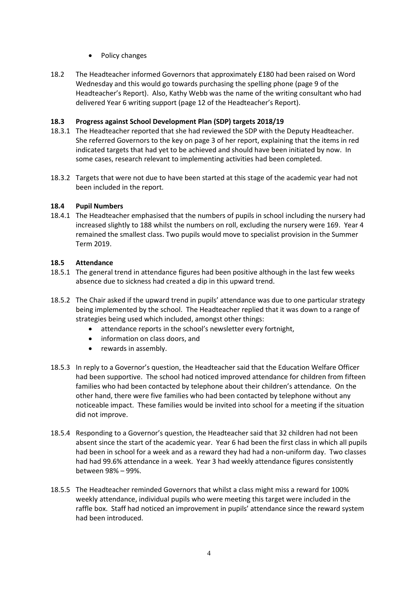- Policy changes
- 18.2 The Headteacher informed Governors that approximately £180 had been raised on Word Wednesday and this would go towards purchasing the spelling phone (page 9 of the Headteacher's Report). Also, Kathy Webb was the name of the writing consultant who had delivered Year 6 writing support (page 12 of the Headteacher's Report).

# **18.3 Progress against School Development Plan (SDP) targets 2018/19**

- 18.3.1 The Headteacher reported that she had reviewed the SDP with the Deputy Headteacher. She referred Governors to the key on page 3 of her report, explaining that the items in red indicated targets that had yet to be achieved and should have been initiated by now. In some cases, research relevant to implementing activities had been completed.
- 18.3.2 Targets that were not due to have been started at this stage of the academic year had not been included in the report.

# **18.4 Pupil Numbers**

18.4.1 The Headteacher emphasised that the numbers of pupils in school including the nursery had increased slightly to 188 whilst the numbers on roll, excluding the nursery were 169. Year 4 remained the smallest class. Two pupils would move to specialist provision in the Summer Term 2019.

# **18.5 Attendance**

- 18.5.1 The general trend in attendance figures had been positive although in the last few weeks absence due to sickness had created a dip in this upward trend.
- 18.5.2 The Chair asked if the upward trend in pupils' attendance was due to one particular strategy being implemented by the school. The Headteacher replied that it was down to a range of strategies being used which included, amongst other things:
	- attendance reports in the school's newsletter every fortnight,
	- information on class doors, and
	- rewards in assembly.
- 18.5.3 In reply to a Governor's question, the Headteacher said that the Education Welfare Officer had been supportive. The school had noticed improved attendance for children from fifteen families who had been contacted by telephone about their children's attendance. On the other hand, there were five families who had been contacted by telephone without any noticeable impact. These families would be invited into school for a meeting if the situation did not improve.
- 18.5.4 Responding to a Governor's question, the Headteacher said that 32 children had not been absent since the start of the academic year. Year 6 had been the first class in which all pupils had been in school for a week and as a reward they had had a non-uniform day. Two classes had had 99.6% attendance in a week. Year 3 had weekly attendance figures consistently between 98% – 99%.
- 18.5.5 The Headteacher reminded Governors that whilst a class might miss a reward for 100% weekly attendance, individual pupils who were meeting this target were included in the raffle box. Staff had noticed an improvement in pupils' attendance since the reward system had been introduced.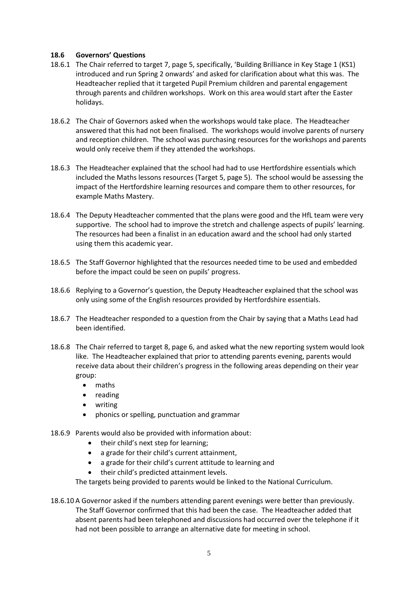## **18.6 Governors' Questions**

- 18.6.1 The Chair referred to target 7, page 5, specifically, 'Building Brilliance in Key Stage 1 (KS1) introduced and run Spring 2 onwards' and asked for clarification about what this was. The Headteacher replied that it targeted Pupil Premium children and parental engagement through parents and children workshops. Work on this area would start after the Easter holidays.
- 18.6.2 The Chair of Governors asked when the workshops would take place. The Headteacher answered that this had not been finalised. The workshops would involve parents of nursery and reception children. The school was purchasing resources for the workshops and parents would only receive them if they attended the workshops.
- 18.6.3 The Headteacher explained that the school had had to use Hertfordshire essentials which included the Maths lessons resources (Target 5, page 5). The school would be assessing the impact of the Hertfordshire learning resources and compare them to other resources, for example Maths Mastery.
- 18.6.4 The Deputy Headteacher commented that the plans were good and the HfL team were very supportive. The school had to improve the stretch and challenge aspects of pupils' learning. The resources had been a finalist in an education award and the school had only started using them this academic year.
- 18.6.5 The Staff Governor highlighted that the resources needed time to be used and embedded before the impact could be seen on pupils' progress.
- 18.6.6 Replying to a Governor's question, the Deputy Headteacher explained that the school was only using some of the English resources provided by Hertfordshire essentials.
- 18.6.7 The Headteacher responded to a question from the Chair by saying that a Maths Lead had been identified.
- 18.6.8 The Chair referred to target 8, page 6, and asked what the new reporting system would look like. The Headteacher explained that prior to attending parents evening, parents would receive data about their children's progress in the following areas depending on their year group:
	- maths
	- reading
	- writing
	- phonics or spelling, punctuation and grammar
- 18.6.9 Parents would also be provided with information about:
	- their child's next step for learning;
	- a grade for their child's current attainment,
	- a grade for their child's current attitude to learning and
	- their child's predicted attainment levels.

The targets being provided to parents would be linked to the National Curriculum.

18.6.10 A Governor asked if the numbers attending parent evenings were better than previously. The Staff Governor confirmed that this had been the case. The Headteacher added that absent parents had been telephoned and discussions had occurred over the telephone if it had not been possible to arrange an alternative date for meeting in school.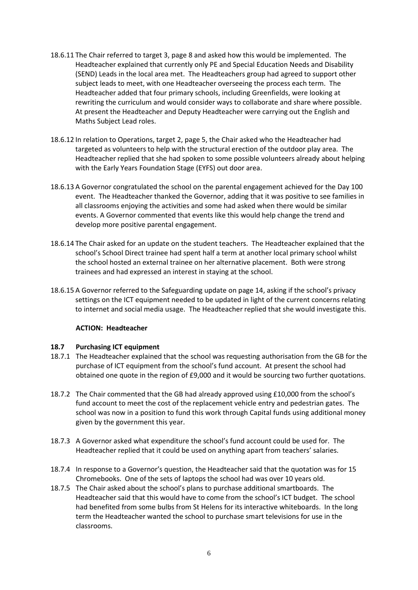- 18.6.11 The Chair referred to target 3, page 8 and asked how this would be implemented. The Headteacher explained that currently only PE and Special Education Needs and Disability (SEND) Leads in the local area met. The Headteachers group had agreed to support other subject leads to meet, with one Headteacher overseeing the process each term. The Headteacher added that four primary schools, including Greenfields, were looking at rewriting the curriculum and would consider ways to collaborate and share where possible. At present the Headteacher and Deputy Headteacher were carrying out the English and Maths Subject Lead roles.
- 18.6.12 In relation to Operations, target 2, page 5, the Chair asked who the Headteacher had targeted as volunteers to help with the structural erection of the outdoor play area. The Headteacher replied that she had spoken to some possible volunteers already about helping with the Early Years Foundation Stage (EYFS) out door area.
- 18.6.13 A Governor congratulated the school on the parental engagement achieved for the Day 100 event. The Headteacher thanked the Governor, adding that it was positive to see families in all classrooms enjoying the activities and some had asked when there would be similar events. A Governor commented that events like this would help change the trend and develop more positive parental engagement.
- 18.6.14 The Chair asked for an update on the student teachers. The Headteacher explained that the school's School Direct trainee had spent half a term at another local primary school whilst the school hosted an external trainee on her alternative placement. Both were strong trainees and had expressed an interest in staying at the school.
- 18.6.15 A Governor referred to the Safeguarding update on page 14, asking if the school's privacy settings on the ICT equipment needed to be updated in light of the current concerns relating to internet and social media usage. The Headteacher replied that she would investigate this.

## **ACTION: Headteacher**

## **18.7 Purchasing ICT equipment**

- 18.7.1 The Headteacher explained that the school was requesting authorisation from the GB for the purchase of ICT equipment from the school's fund account. At present the school had obtained one quote in the region of £9,000 and it would be sourcing two further quotations.
- 18.7.2 The Chair commented that the GB had already approved using £10,000 from the school's fund account to meet the cost of the replacement vehicle entry and pedestrian gates. The school was now in a position to fund this work through Capital funds using additional money given by the government this year.
- 18.7.3 A Governor asked what expenditure the school's fund account could be used for. The Headteacher replied that it could be used on anything apart from teachers' salaries.
- 18.7.4 In response to a Governor's question, the Headteacher said that the quotation was for 15 Chromebooks. One of the sets of laptops the school had was over 10 years old.
- 18.7.5 The Chair asked about the school's plans to purchase additional smartboards. The Headteacher said that this would have to come from the school's ICT budget. The school had benefited from some bulbs from St Helens for its interactive whiteboards. In the long term the Headteacher wanted the school to purchase smart televisions for use in the classrooms.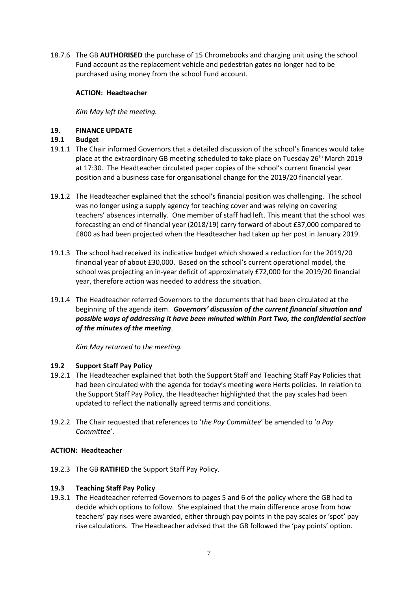18.7.6 The GB **AUTHORISED** the purchase of 15 Chromebooks and charging unit using the school Fund account as the replacement vehicle and pedestrian gates no longer had to be purchased using money from the school Fund account.

## **ACTION: Headteacher**

*Kim May left the meeting.*

## **19. FINANCE UPDATE**

## **19.1 Budget**

- 19.1.1 The Chair informed Governors that a detailed discussion of the school's finances would take place at the extraordinary GB meeting scheduled to take place on Tuesday  $26<sup>th</sup>$  March 2019 at 17:30. The Headteacher circulated paper copies of the school's current financial year position and a business case for organisational change for the 2019/20 financial year.
- 19.1.2 The Headteacher explained that the school's financial position was challenging. The school was no longer using a supply agency for teaching cover and was relying on covering teachers' absences internally. One member of staff had left. This meant that the school was forecasting an end of financial year (2018/19) carry forward of about £37,000 compared to £800 as had been projected when the Headteacher had taken up her post in January 2019.
- 19.1.3 The school had received its indicative budget which showed a reduction for the 2019/20 financial year of about £30,000. Based on the school's current operational model, the school was projecting an in-year deficit of approximately £72,000 for the 2019/20 financial year, therefore action was needed to address the situation.
- 19.1.4 The Headteacher referred Governors to the documents that had been circulated at the beginning of the agenda item. *Governors' discussion of the current financial situation and possible ways of addressing it have been minuted within Part Two, the confidential section of the minutes of the meeting*.

*Kim May returned to the meeting.*

## **19.2 Support Staff Pay Policy**

- 19.2.1 The Headteacher explained that both the Support Staff and Teaching Staff Pay Policies that had been circulated with the agenda for today's meeting were Herts policies. In relation to the Support Staff Pay Policy, the Headteacher highlighted that the pay scales had been updated to reflect the nationally agreed terms and conditions.
- 19.2.2 The Chair requested that references to '*the Pay Committee*' be amended to '*a Pay Committee*'.

## **ACTION: Headteacher**

19.2.3 The GB **RATIFIED** the Support Staff Pay Policy.

# **19.3 Teaching Staff Pay Policy**

19.3.1 The Headteacher referred Governors to pages 5 and 6 of the policy where the GB had to decide which options to follow. She explained that the main difference arose from how teachers' pay rises were awarded, either through pay points in the pay scales or 'spot' pay rise calculations. The Headteacher advised that the GB followed the 'pay points' option.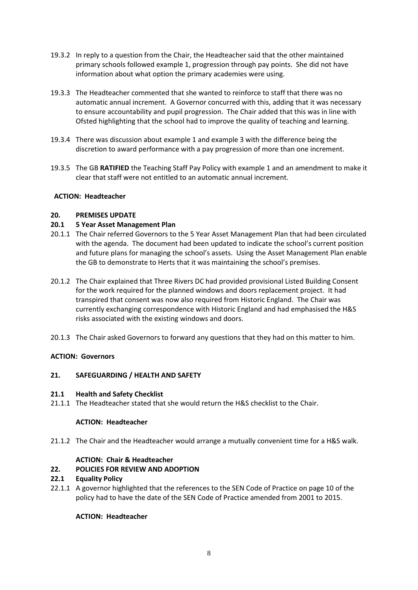- 19.3.2 In reply to a question from the Chair, the Headteacher said that the other maintained primary schools followed example 1, progression through pay points. She did not have information about what option the primary academies were using.
- 19.3.3 The Headteacher commented that she wanted to reinforce to staff that there was no automatic annual increment. A Governor concurred with this, adding that it was necessary to ensure accountability and pupil progression. The Chair added that this was in line with Ofsted highlighting that the school had to improve the quality of teaching and learning.
- 19.3.4 There was discussion about example 1 and example 3 with the difference being the discretion to award performance with a pay progression of more than one increment.
- 19.3.5 The GB **RATIFIED** the Teaching Staff Pay Policy with example 1 and an amendment to make it clear that staff were not entitled to an automatic annual increment.

## **ACTION: Headteacher**

## **20. PREMISES UPDATE**

## **20.1 5 Year Asset Management Plan**

- 20.1.1 The Chair referred Governors to the 5 Year Asset Management Plan that had been circulated with the agenda. The document had been updated to indicate the school's current position and future plans for managing the school's assets. Using the Asset Management Plan enable the GB to demonstrate to Herts that it was maintaining the school's premises.
- 20.1.2 The Chair explained that Three Rivers DC had provided provisional Listed Building Consent for the work required for the planned windows and doors replacement project. It had transpired that consent was now also required from Historic England. The Chair was currently exchanging correspondence with Historic England and had emphasised the H&S risks associated with the existing windows and doors.
- 20.1.3 The Chair asked Governors to forward any questions that they had on this matter to him.

## **ACTION: Governors**

# **21. SAFEGUARDING / HEALTH AND SAFETY**

## **21.1 Health and Safety Checklist**

21.1.1 The Headteacher stated that she would return the H&S checklist to the Chair.

## **ACTION: Headteacher**

21.1.2 The Chair and the Headteacher would arrange a mutually convenient time for a H&S walk.

## **ACTION: Chair & Headteacher**

## **22. POLICIES FOR REVIEW AND ADOPTION**

## **22.1 Equality Policy**

22.1.1 A governor highlighted that the references to the SEN Code of Practice on page 10 of the policy had to have the date of the SEN Code of Practice amended from 2001 to 2015.

## **ACTION: Headteacher**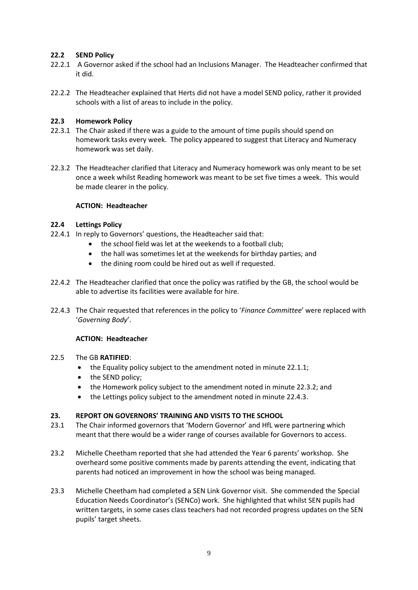## **22.2 SEND Policy**

- 22.2.1 A Governor asked if the school had an Inclusions Manager. The Headteacher confirmed that it did.
- 22.2.2 The Headteacher explained that Herts did not have a model SEND policy, rather it provided schools with a list of areas to include in the policy.

## **22.3 Homework Policy**

- 22.3.1 The Chair asked if there was a guide to the amount of time pupils should spend on homework tasks every week. The policy appeared to suggest that Literacy and Numeracy homework was set daily.
- 22.3.2 The Headteacher clarified that Literacy and Numeracy homework was only meant to be set once a week whilst Reading homework was meant to be set five times a week. This would be made clearer in the policy.

## **ACTION: Headteacher**

## **22.4 Lettings Policy**

- 22.4.1 In reply to Governors' questions, the Headteacher said that:
	- the school field was let at the weekends to a football club;
	- the hall was sometimes let at the weekends for birthday parties; and
	- the dining room could be hired out as well if requested.
- 22.4.2 The Headteacher clarified that once the policy was ratified by the GB, the school would be able to advertise its facilities were available for hire.
- 22.4.3 The Chair requested that references in the policy to '*Finance Committee*' were replaced with '*Governing Body*'.

## **ACTION: Headteacher**

## 22.5 The GB **RATIFIED**:

- the Equality policy subject to the amendment noted in minute 22.1.1;
- the SEND policy;
- the Homework policy subject to the amendment noted in minute 22.3.2; and
- the Lettings policy subject to the amendment noted in minute 22.4.3.

## **23. REPORT ON GOVERNORS' TRAINING AND VISITS TO THE SCHOOL**

- 23.1 The Chair informed governors that 'Modern Governor' and HfL were partnering which meant that there would be a wider range of courses available for Governors to access.
- 23.2 Michelle Cheetham reported that she had attended the Year 6 parents' workshop. She overheard some positive comments made by parents attending the event, indicating that parents had noticed an improvement in how the school was being managed.
- 23.3 Michelle Cheetham had completed a SEN Link Governor visit. She commended the Special Education Needs Coordinator's (SENCo) work. She highlighted that whilst SEN pupils had written targets, in some cases class teachers had not recorded progress updates on the SEN pupils' target sheets.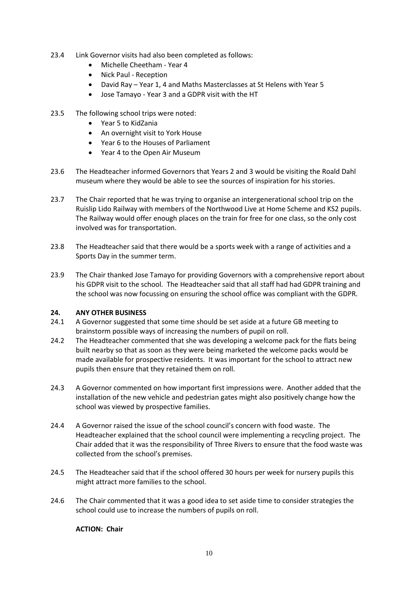- 23.4 Link Governor visits had also been completed as follows:
	- Michelle Cheetham Year 4
	- Nick Paul Reception
	- David Ray Year 1, 4 and Maths Masterclasses at St Helens with Year 5
	- Jose Tamayo Year 3 and a GDPR visit with the HT
- 23.5 The following school trips were noted:
	- Year 5 to KidZania
	- An overnight visit to York House
	- Year 6 to the Houses of Parliament
	- Year 4 to the Open Air Museum
- 23.6 The Headteacher informed Governors that Years 2 and 3 would be visiting the Roald Dahl museum where they would be able to see the sources of inspiration for his stories.
- 23.7 The Chair reported that he was trying to organise an intergenerational school trip on the Ruislip Lido Railway with members of the Northwood Live at Home Scheme and KS2 pupils. The Railway would offer enough places on the train for free for one class, so the only cost involved was for transportation.
- 23.8 The Headteacher said that there would be a sports week with a range of activities and a Sports Day in the summer term.
- 23.9 The Chair thanked Jose Tamayo for providing Governors with a comprehensive report about his GDPR visit to the school. The Headteacher said that all staff had had GDPR training and the school was now focussing on ensuring the school office was compliant with the GDPR.

## **24. ANY OTHER BUSINESS**

- 24.1 A Governor suggested that some time should be set aside at a future GB meeting to brainstorm possible ways of increasing the numbers of pupil on roll.
- 24.2 The Headteacher commented that she was developing a welcome pack for the flats being built nearby so that as soon as they were being marketed the welcome packs would be made available for prospective residents. It was important for the school to attract new pupils then ensure that they retained them on roll.
- 24.3 A Governor commented on how important first impressions were. Another added that the installation of the new vehicle and pedestrian gates might also positively change how the school was viewed by prospective families.
- 24.4 A Governor raised the issue of the school council's concern with food waste. The Headteacher explained that the school council were implementing a recycling project. The Chair added that it was the responsibility of Three Rivers to ensure that the food waste was collected from the school's premises.
- 24.5 The Headteacher said that if the school offered 30 hours per week for nursery pupils this might attract more families to the school.
- 24.6 The Chair commented that it was a good idea to set aside time to consider strategies the school could use to increase the numbers of pupils on roll.

**ACTION: Chair**